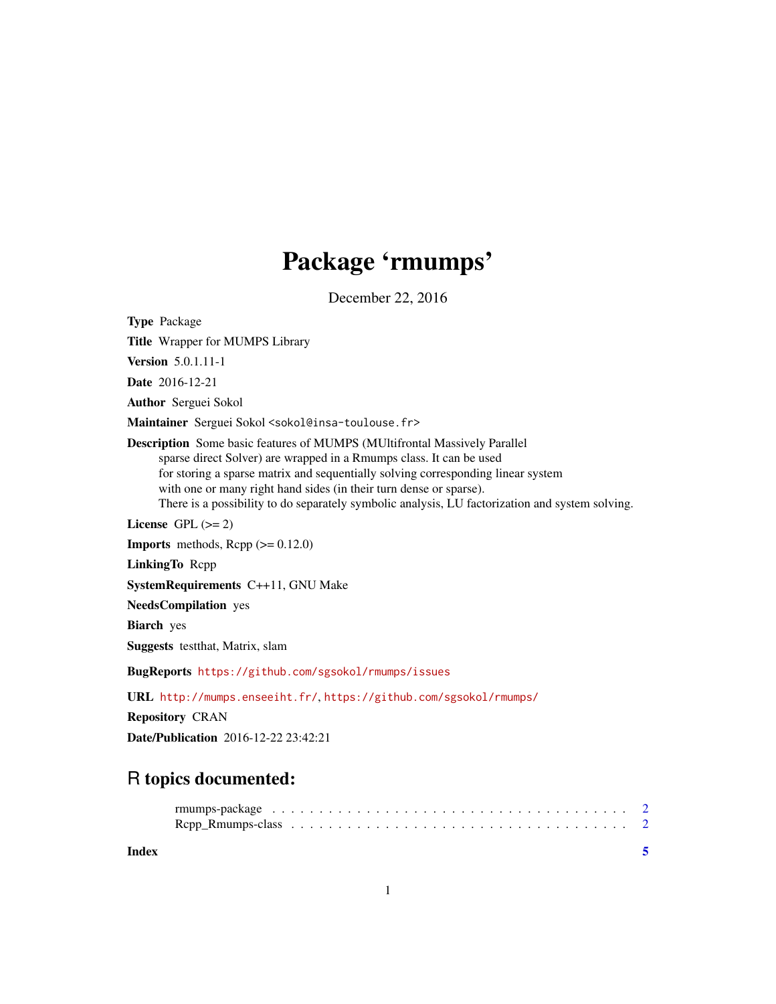## Package 'rmumps'

December 22, 2016

Type Package Title Wrapper for MUMPS Library Version 5.0.1.11-1 Date 2016-12-21 Author Serguei Sokol Maintainer Serguei Sokol <sokol@insa-toulouse.fr> Description Some basic features of MUMPS (MUltifrontal Massively Parallel sparse direct Solver) are wrapped in a Rmumps class. It can be used for storing a sparse matrix and sequentially solving corresponding linear system with one or many right hand sides (in their turn dense or sparse). There is a possibility to do separately symbolic analysis, LU factorization and system solving. License GPL  $(>= 2)$ **Imports** methods,  $\text{Rcpp} (> = 0.12.0)$ LinkingTo Rcpp SystemRequirements C++11, GNU Make NeedsCompilation yes Biarch yes Suggests testthat, Matrix, slam BugReports <https://github.com/sgsokol/rmumps/issues> URL <http://mumps.enseeiht.fr/>, <https://github.com/sgsokol/rmumps/> Repository CRAN Date/Publication 2016-12-22 23:42:21

### R topics documented:

**Index** [5](#page-4-0). The second state of the second state of the second state of the second state of the second state of the second state of the second state of the second state of the second state of the second state of the second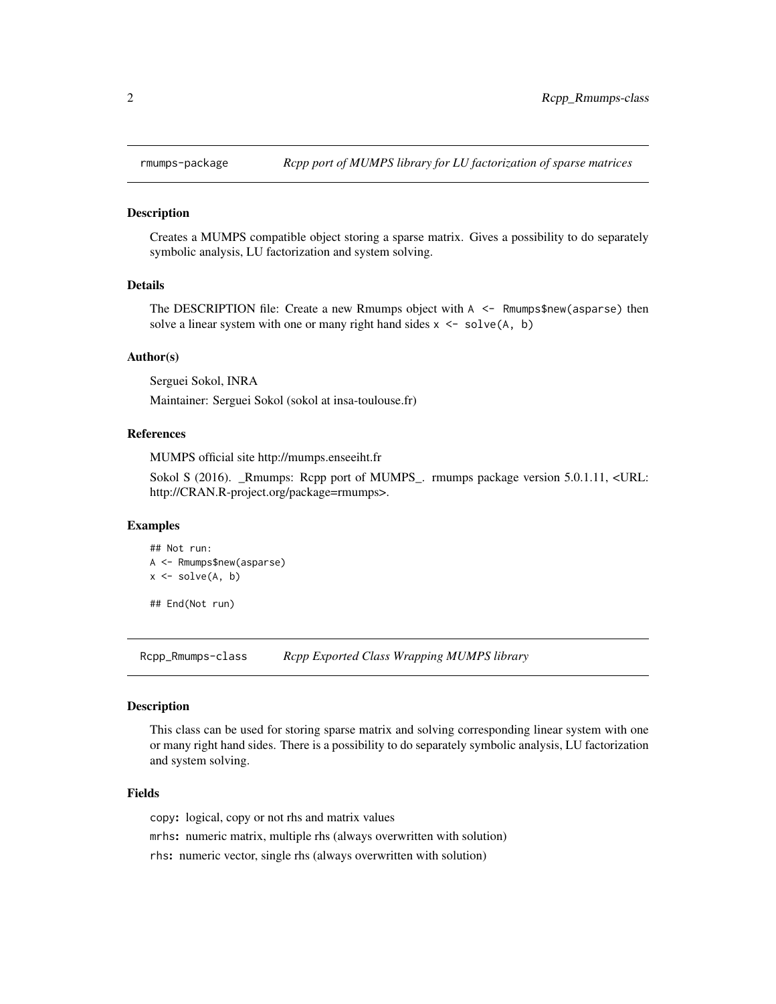<span id="page-1-0"></span>

#### Description

Creates a MUMPS compatible object storing a sparse matrix. Gives a possibility to do separately symbolic analysis, LU factorization and system solving.

#### Details

The DESCRIPTION file: Create a new Rmumps object with A <- Rmumps\$new(asparse) then solve a linear system with one or many right hand sides  $x \le -\text{solve}(A, b)$ 

#### Author(s)

Serguei Sokol, INRA

Maintainer: Serguei Sokol (sokol at insa-toulouse.fr)

#### References

MUMPS official site http://mumps.enseeiht.fr

Sokol S (2016). \_Rmumps: Rcpp port of MUMPS\_. rmumps package version 5.0.1.11, <URL: http://CRAN.R-project.org/package=rmumps>.

#### Examples

```
## Not run:
A <- Rmumps$new(asparse)
x \leftarrow solve(A, b)## End(Not run)
```
Rcpp\_Rmumps-class *Rcpp Exported Class Wrapping MUMPS library*

#### **Description**

This class can be used for storing sparse matrix and solving corresponding linear system with one or many right hand sides. There is a possibility to do separately symbolic analysis, LU factorization and system solving.

#### Fields

copy: logical, copy or not rhs and matrix values

mrhs: numeric matrix, multiple rhs (always overwritten with solution)

rhs: numeric vector, single rhs (always overwritten with solution)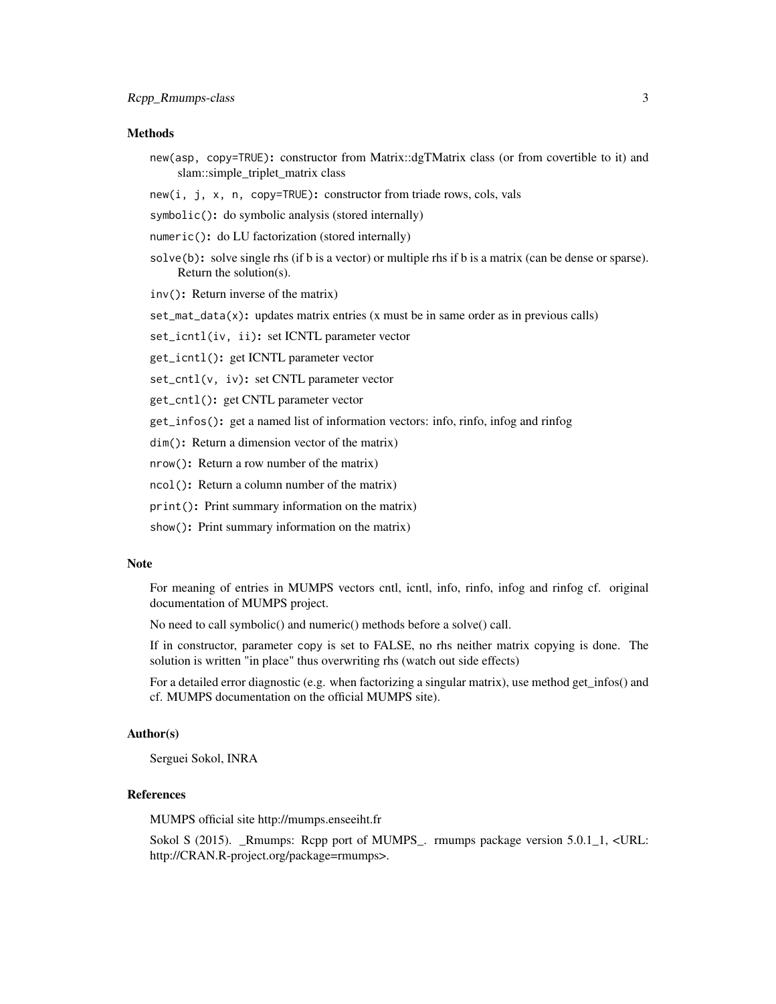#### Methods

new(asp, copy=TRUE): constructor from Matrix::dgTMatrix class (or from covertible to it) and slam::simple\_triplet\_matrix class

new(i, j, x, n, copy=TRUE): constructor from triade rows, cols, vals

- symbolic(): do symbolic analysis (stored internally)
- numeric(): do LU factorization (stored internally)
- solve(b): solve single rhs (if b is a vector) or multiple rhs if b is a matrix (can be dense or sparse). Return the solution(s).
- inv(): Return inverse of the matrix)
- set\_mat\_data(x): updates matrix entries (x must be in same order as in previous calls)

set\_icntl(iv, ii): set ICNTL parameter vector

get\_icntl(): get ICNTL parameter vector

set\_cntl(v, iv): set CNTL parameter vector

get\_cntl(): get CNTL parameter vector

get\_infos(): get a named list of information vectors: info, rinfo, infog and rinfog

dim(): Return a dimension vector of the matrix)

nrow(): Return a row number of the matrix)

ncol(): Return a column number of the matrix)

print(): Print summary information on the matrix)

show(): Print summary information on the matrix)

#### Note

For meaning of entries in MUMPS vectors cntl, icntl, info, rinfo, infog and rinfog cf. original documentation of MUMPS project.

No need to call symbolic() and numeric() methods before a solve() call.

If in constructor, parameter copy is set to FALSE, no rhs neither matrix copying is done. The solution is written "in place" thus overwriting rhs (watch out side effects)

For a detailed error diagnostic (e.g. when factorizing a singular matrix), use method get\_infos() and cf. MUMPS documentation on the official MUMPS site).

#### Author(s)

Serguei Sokol, INRA

#### References

MUMPS official site http://mumps.enseeiht.fr

Sokol S (2015). \_Rmumps: Rcpp port of MUMPS\_. rmumps package version 5.0.1\_1, <URL: http://CRAN.R-project.org/package=rmumps>.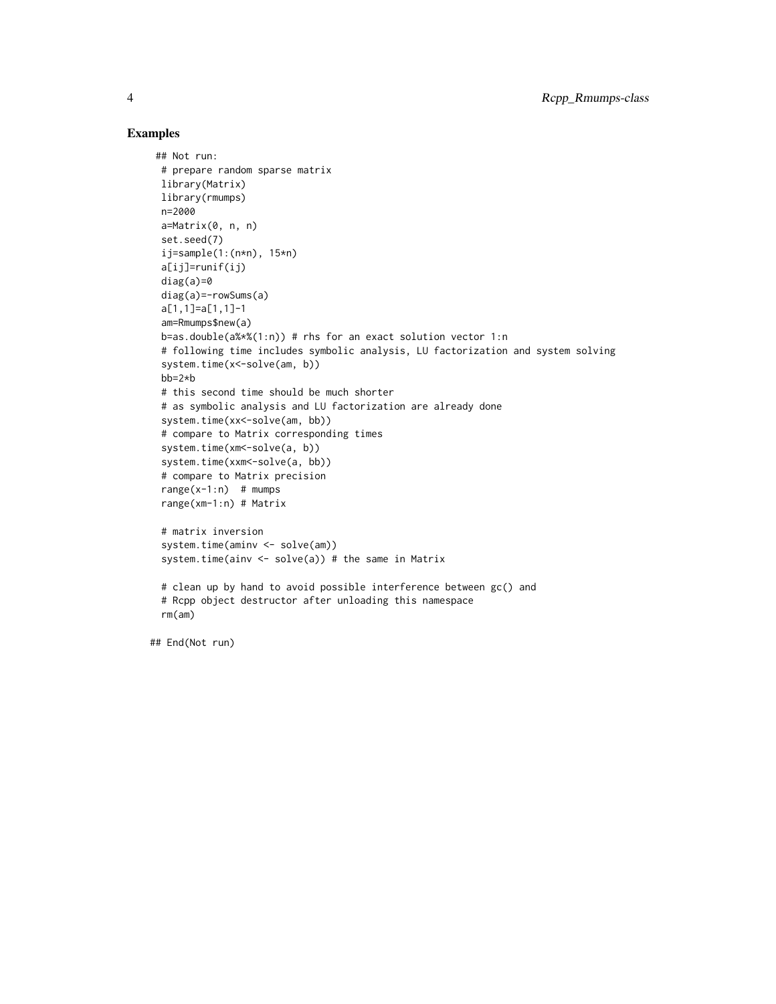#### Examples

```
## Not run:
 # prepare random sparse matrix
 library(Matrix)
 library(rmumps)
 n=2000
 a=Matrix(0, n, n)
 set.seed(7)
 ij=sample(1:(n*n), 15*n)
 a[ij]=runif(ij)
 diag(a)=0diag(a)=-rowSums(a)
 a[1,1]=a[1,1]-1
 am=Rmumps$new(a)
 b=as.double(a%*%(1:n)) # rhs for an exact solution vector 1:n
 # following time includes symbolic analysis, LU factorization and system solving
 system.time(x<-solve(am, b))
 bb=2*b
 # this second time should be much shorter
 # as symbolic analysis and LU factorization are already done
 system.time(xx<-solve(am, bb))
 # compare to Matrix corresponding times
 system.time(xm<-solve(a, b))
 system.time(xxm <- solve(a, bb))
 # compare to Matrix precision
 range(x-1:n) # mumps
 range(xm-1:n) # Matrix
 # matrix inversion
 system.time(aminv <- solve(am))
 system.time(ainv <- solve(a)) # the same in Matrix
 # clean up by hand to avoid possible interference between gc() and
 # Rcpp object destructor after unloading this namespace
 rm(am)
```
## End(Not run)